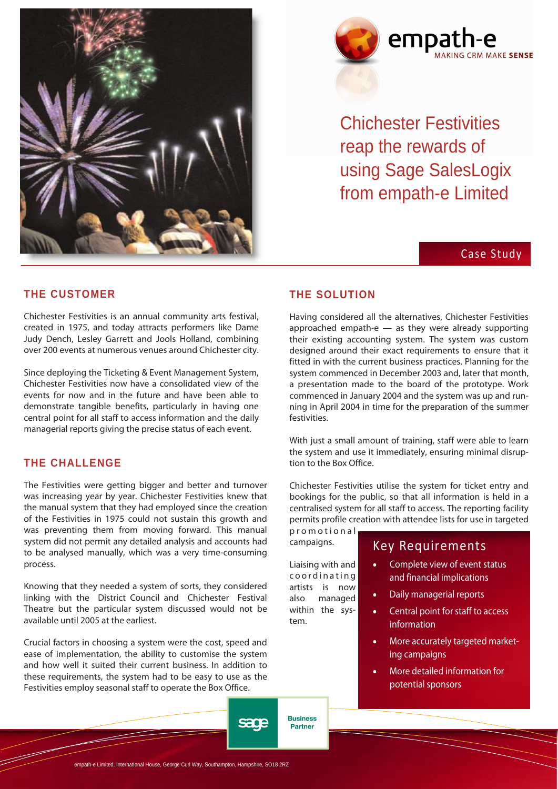



Chichester Festivities reap the rewards of using Sage SalesLogix from empath-e Limited

# Case Study

#### **THE CUSTOMER**

Chichester Festivities is an annual community arts festival, created in 1975, and today attracts performers like Dame Judy Dench, Lesley Garrett and Jools Holland, combining over 200 events at numerous venues around Chichester city.

Since deploying the Ticketing & Event Management System, Chichester Festivities now have a consolidated view of the events for now and in the future and have been able to demonstrate tangible benefits, particularly in having one central point for all staff to access information and the daily managerial reports giving the precise status of each event.

### **THE CHALLENGE**

The Festivities were getting bigger and better and turnover was increasing year by year. Chichester Festivities knew that the manual system that they had employed since the creation of the Festivities in 1975 could not sustain this growth and was preventing them from moving forward. This manual system did not permit any detailed analysis and accounts had to be analysed manually, which was a very time-consuming process.

Knowing that they needed a system of sorts, they considered linking with the District Council and Chichester Festival Theatre but the particular system discussed would not be available until 2005 at the earliest.

Crucial factors in choosing a system were the cost, speed and ease of implementation, the ability to customise the system and how well it suited their current business. In addition to these requirements, the system had to be easy to use as the Festivities employ seasonal staff to operate the Box Office.

#### **THE SOLUTION**

Having considered all the alternatives, Chichester Festivities approached empath-e  $-$  as they were already supporting their existing accounting system. The system was custom designed around their exact requirements to ensure that it fitted in with the current business practices. Planning for the system commenced in December 2003 and, later that month, a presentation made to the board of the prototype. Work commenced in January 2004 and the system was up and running in April 2004 in time for the preparation of the summer festivities.

With just a small amount of training, staff were able to learn the system and use it immediately, ensuring minimal disruption to the Box Office.

Chichester Festivities utilise the system for ticket entry and bookings for the public, so that all information is held in a centralised system for all staff to access. The reporting facility permits profile creation with attendee lists for use in targeted

promotional campaigns.

Liaising with and coordinating artists is now also managed within the system.

**Business** 

**Partner** 

sage

# Key Requirements

- Complete view of event status and financial implications
- Daily managerial reports
- Central point for staff to access information
- More accurately targeted marketing campaigns
- More detailed information for potential sponsors

-e Limited, International House, George Curl Way, Southampton, Hampshire, SO18 2RZ